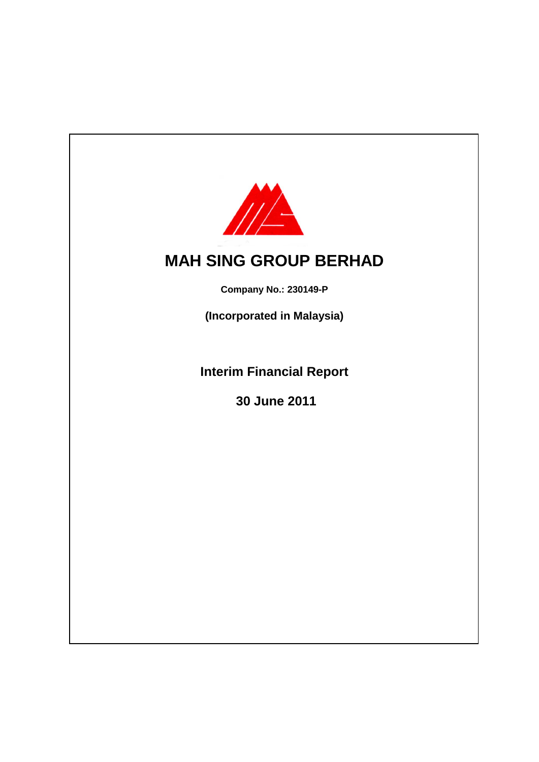

# **MAH SING GROUP BERHAD**

**Company No.: 230149-P**

**(Incorporated in Malaysia)**

**Interim Financial Report**

 **30 June 2011**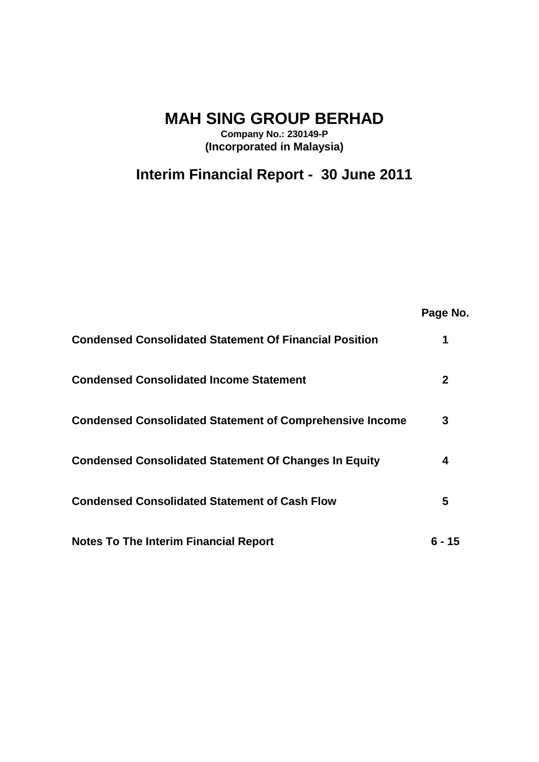# **MAH SING GROUP BERHAD**

**Company No.: 230149-P (Incorporated in Malaysia)**

**Interim Financial Report - 30 June 2011**

|                                                                 | Page No. |
|-----------------------------------------------------------------|----------|
| <b>Condensed Consolidated Statement Of Financial Position</b>   | 1        |
| <b>Condensed Consolidated Income Statement</b>                  | 2        |
| <b>Condensed Consolidated Statement of Comprehensive Income</b> | 3        |
| <b>Condensed Consolidated Statement Of Changes In Equity</b>    | 4        |
| <b>Condensed Consolidated Statement of Cash Flow</b>            | 5        |
| <b>Notes To The Interim Financial Report</b>                    | ճ - 15   |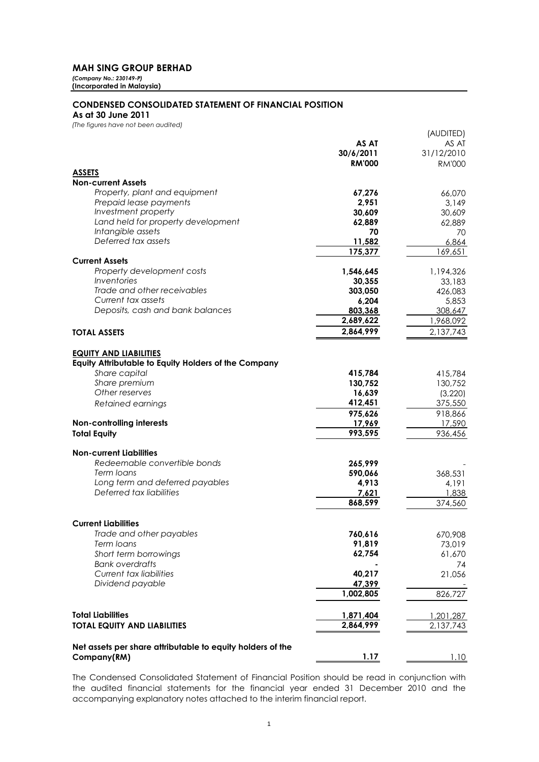*(Company No.: 230149-P)* **(Incorporated in Malaysia)**

#### **CONDENSED CONSOLIDATED STATEMENT OF FINANCIAL POSITION**

**As at 30 June 2011**

| (The figures have not been audited)                                                   |               |               |
|---------------------------------------------------------------------------------------|---------------|---------------|
|                                                                                       |               | (AUDITED)     |
|                                                                                       | AS AT         | AS AT         |
|                                                                                       | 30/6/2011     | 31/12/2010    |
|                                                                                       | <b>RM'000</b> | <b>RM'000</b> |
| <b>ASSETS</b>                                                                         |               |               |
| <b>Non-current Assets</b>                                                             |               |               |
| Property, plant and equipment                                                         | 67,276        | 66,070        |
| Prepaid lease payments                                                                | 2,951         | 3,149         |
| Investment property                                                                   | 30,609        | 30,609        |
| Land held for property development                                                    | 62,889        | 62,889        |
| Intangible assets                                                                     | 70            | 70            |
| Deferred tax assets                                                                   | 11,582        | 6,864         |
|                                                                                       | 175,377       | 169,651       |
| <b>Current Assets</b>                                                                 |               |               |
| Property development costs                                                            | 1,546,645     | 1,194,326     |
| Inventories                                                                           | 30,355        | 33,183        |
| Trade and other receivables                                                           | 303,050       | 426,083       |
| Current tax assets                                                                    | 6,204         | 5,853         |
| Deposits, cash and bank balances                                                      | 803,368       | 308,647       |
|                                                                                       | 2,689,622     | 1,968,092     |
| <b>TOTAL ASSETS</b>                                                                   | 2,864,999     | 2,137,743     |
|                                                                                       |               |               |
| <b>EQUITY AND LIABILITIES</b><br>Equity Attributable to Equity Holders of the Company |               |               |
| Share capital                                                                         | 415,784       | 415,784       |
| Share premium                                                                         | 130,752       | 130,752       |
| Other reserves                                                                        | 16,639        | (3, 220)      |
| Retained earnings                                                                     | 412,451       | 375,550       |
|                                                                                       | 975,626       | 918,866       |
| Non-controlling interests                                                             | 17,969        | 17,590        |
| <b>Total Equity</b>                                                                   | 993,595       | 936,456       |
| <b>Non-current Liabilities</b>                                                        |               |               |
| Redeemable convertible bonds                                                          | 265,999       |               |
| Term loans                                                                            | 590,066       | 368,531       |
| Long term and deferred payables                                                       | 4,913         | 4,191         |
| Deferred tax liabilities                                                              | 7,621         | 1,838         |
|                                                                                       | 868,599       | 374,560       |
|                                                                                       |               |               |
| <b>Current Liabilities</b>                                                            |               |               |
| Trade and other payables                                                              | 760,616       | 670,908       |
| Term loans                                                                            | 91,819        | 73,019        |
| Short term borrowings                                                                 | 62,754        | 61,670        |
| <b>Bank overdrafts</b>                                                                |               | 74            |
| <b>Current tax liabilities</b>                                                        | 40,217        | 21,056        |
| Dividend payable                                                                      | 47,399        |               |
|                                                                                       | 1,002,805     | 826,727       |
| <b>Total Liabilities</b>                                                              | 1,871,404     | 1,201,287     |
| <b>TOTAL EQUITY AND LIABILITIES</b>                                                   | 2,864,999     | 2,137,743     |
|                                                                                       |               |               |
| Net assets per share attributable to equity holders of the                            |               |               |
| Company(RM)                                                                           | <u>1.17</u>   | 1.10          |

The Condensed Consolidated Statement of Financial Position should be read in conjunction with the audited financial statements for the financial year ended 31 December 2010 and the accompanying explanatory notes attached to the interim financial report.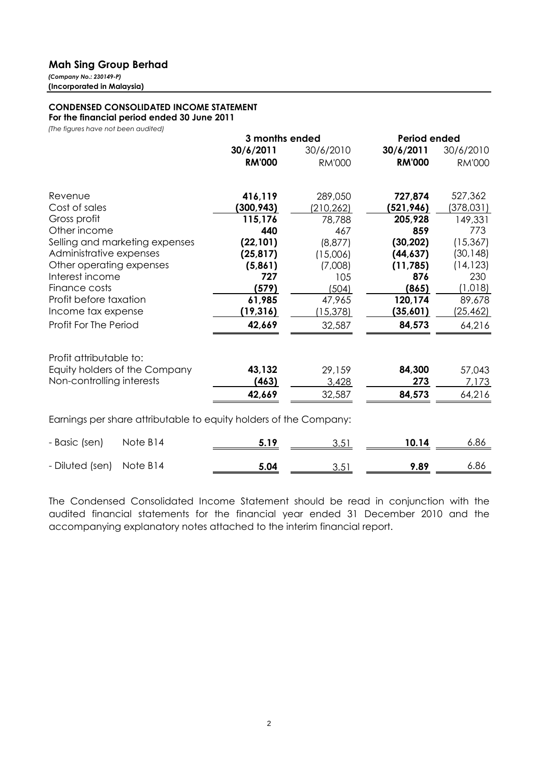*(Company No.: 230149-P)* **(Incorporated in Malaysia)**

# **CONDENSED CONSOLIDATED INCOME STATEMENT**

**For the financial period ended 30 June 2011**

*(The figures have not been audited)*

|                                                                   | 3 months ended |                  | <b>Period ended</b> |               |
|-------------------------------------------------------------------|----------------|------------------|---------------------|---------------|
|                                                                   | 30/6/2011      | 30/6/2010        | 30/6/2011           | 30/6/2010     |
|                                                                   | <b>RM'000</b>  | <b>RM'000</b>    | <b>RM'000</b>       | <b>RM'000</b> |
| Revenue                                                           | 416,119        | 289,050          | 727,874             | 527,362       |
| Cost of sales                                                     | (300,943)      | (210, 262)       | (521,946)           | (378,031)     |
| Gross profit                                                      | 115,176        | 78,788           | 205,928             | 149,331       |
| Other income                                                      | 440            | 467              | 859                 | 773           |
| Selling and marketing expenses                                    | (22, 101)      | (8, 877)         | (30, 202)           | (15, 367)     |
| Administrative expenses                                           | (25, 817)      | (15,006)         | (44, 637)           | (30, 148)     |
| Other operating expenses                                          | (5,861)        | (7,008)          | (11, 785)           | (14, 123)     |
| Interest income                                                   | 727            | 105              | 876                 | 230           |
| Finance costs                                                     | (579)          | (504)            | (865)               | (1, 018)      |
| Profit before taxation                                            | 61,985         | 47,965           | 120,174             | 89,678        |
| Income tax expense                                                | (19, 316)      | <u>(15,378) </u> | (35,601)            | (25,462)      |
| Profit For The Period                                             | 42,669         | 32,587           | 84,573              | 64,216        |
| Profit attributable to:                                           |                |                  |                     |               |
| Equity holders of the Company                                     | 43,132         | 29,159           | 84,300              | 57,043        |
| Non-controlling interests                                         | (463)          | 3,428            | 273                 | 7,173         |
|                                                                   | 42,669         | 32,587           | 84,573              | 64,216        |
| Earnings per share attributable to equity holders of the Company: |                |                  |                     |               |
| - Basic (sen)<br>Note B14                                         | 5.19           | 3.51             | 10.14               | 6.86          |
| Note B14<br>- Diluted (sen)                                       | 5.04           | 3.51             | 9.89                | 6.86          |

The Condensed Consolidated Income Statement should be read in conjunction with the audited financial statements for the financial year ended 31 December 2010 and the accompanying explanatory notes attached to the interim financial report.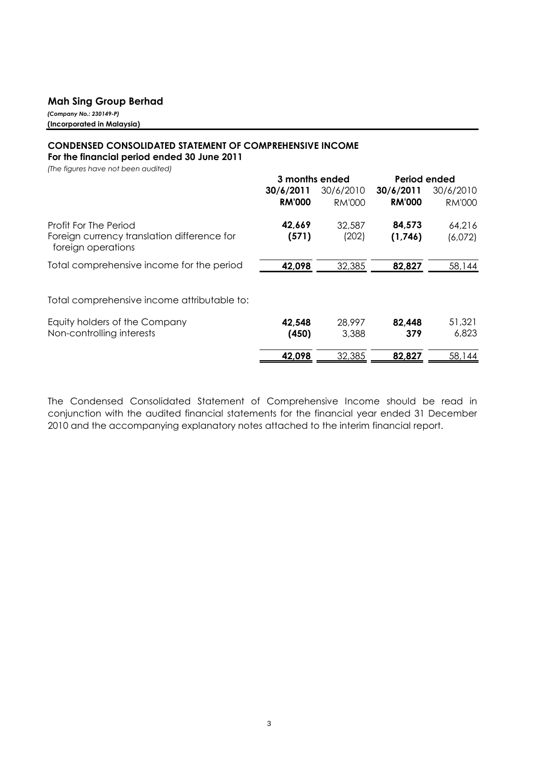*(Company No.: 230149-P)* **(Incorporated in Malaysia)**

# **CONDENSED CONSOLIDATED STATEMENT OF COMPREHENSIVE INCOME For the financial period ended 30 June 2011**

*(The figures have not been audited)*

|                                                                      | 3 months ended  |                 | Period ended      |                   |
|----------------------------------------------------------------------|-----------------|-----------------|-------------------|-------------------|
|                                                                      | 30/6/2011       | 30/6/2010       | 30/6/2011         | 30/6/2010         |
|                                                                      | <b>RM'000</b>   | <b>RM'000</b>   | <b>RM'000</b>     | <b>RM'000</b>     |
| Profit For The Period<br>Foreign currency translation difference for | 42,669<br>(571) | 32,587<br>(202) | 84,573<br>(1,746) | 64,216<br>(6,072) |
| foreign operations                                                   |                 |                 |                   |                   |
| Total comprehensive income for the period                            | 42,098          | 32,385          | 82,827            | 58,144            |
| Total comprehensive income attributable to:                          |                 |                 |                   |                   |
| Equity holders of the Company                                        | 42,548          | 28,997          | 82,448            | 51,321            |
| Non-controlling interests                                            | (450)           | 3,388           | 379               | 6,823             |
|                                                                      | 42,098          | 32,385          | 82,827            | 58,144            |

The Condensed Consolidated Statement of Comprehensive Income should be read in conjunction with the audited financial statements for the financial year ended 31 December 2010 and the accompanying explanatory notes attached to the interim financial report.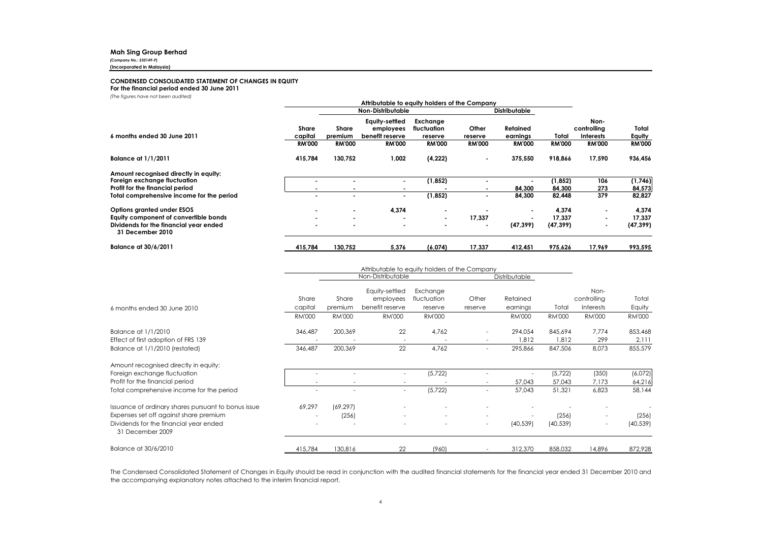*(Company No.: 230149-P)*

#### **(Incorporated in Malaysia)**

#### **CONDENSED CONSOLIDATED STATEMENT OF CHANGES IN EQUITY**

#### **For the financial period ended 30 June 2011**

*(The figures have not been audited)*

|                                                            | Attributable to equity holders of the Company |                         |                                                |                                    |                      |                      |               |                                         |                 |
|------------------------------------------------------------|-----------------------------------------------|-------------------------|------------------------------------------------|------------------------------------|----------------------|----------------------|---------------|-----------------------------------------|-----------------|
|                                                            | Non-Distributable                             |                         |                                                |                                    | <b>Distributable</b> |                      |               |                                         |                 |
| 6 months ended 30 June 2011                                | <b>Share</b><br>capital                       | <b>Share</b><br>premium | Equity-settled<br>employees<br>benefit reserve | Exchange<br>fluctuation<br>reserve | Other<br>reserve     | Retained<br>earnings | Total         | Non-<br>controlling<br><b>Interests</b> | Total<br>Equity |
|                                                            | <b>RM'000</b>                                 | <b>RM'000</b>           | <b>RM'000</b>                                  | <b>RM'000</b>                      | <b>RM'000</b>        | <b>RM'000</b>        | <b>RM'000</b> | <b>RM'000</b>                           | <b>RM'000</b>   |
| <b>Balance at 1/1/2011</b>                                 | 415,784                                       | 130,752                 | 1,002                                          | (4, 222)                           | $\blacksquare$       | 375,550              | 918,866       | 17,590                                  | 936,456         |
| Amount recognised directly in equity:                      |                                               |                         |                                                |                                    |                      |                      |               |                                         |                 |
| Foreign exchange fluctuation                               |                                               |                         | $\blacksquare$                                 | (1,852)                            |                      |                      | (1, 852)      | 106                                     | (1,746)         |
| Profit for the financial period                            |                                               |                         |                                                |                                    |                      | 84,300               | 84,300        | 273                                     | 84,573          |
| Total comprehensive income for the period                  | $\overline{\phantom{a}}$                      |                         | $\sim$                                         | (1, 852)                           |                      | 84,300               | 82,448        | 379                                     | 82,827          |
| Options granted under ESOS                                 | $\overline{\phantom{a}}$                      | $\blacksquare$          | 4,374                                          | $\blacksquare$                     |                      |                      | 4,374         |                                         | 4,374           |
| Equity component of convertible bonds                      |                                               |                         |                                                | $\overline{\phantom{a}}$           | 17,337               |                      | 17.337        |                                         | 17,337          |
| Dividends for the financial year ended<br>31 December 2010 |                                               |                         | ۰                                              |                                    |                      | (47, 399)            | (47, 399)     |                                         | (47, 399)       |
| <b>Balance at 30/6/2011</b>                                | 415,784                                       | 130,752                 | 5,376                                          | (6,074)                            | 17,337               | 412,451              | 975,626       | 17.969                                  | 993,595         |

|                                                            | Attributable to equity holders of the Company |               |                          |                          |                          |               |               |                          |               |
|------------------------------------------------------------|-----------------------------------------------|---------------|--------------------------|--------------------------|--------------------------|---------------|---------------|--------------------------|---------------|
|                                                            |                                               |               | Non-Distributable        |                          |                          | Distributable |               |                          |               |
|                                                            |                                               |               | Equity-settled           | Exchange                 |                          |               |               | Non-                     |               |
|                                                            | Share                                         | Share         | employees                | fluctuation              | Other                    | Retained      |               | controlling              | Total         |
| 6 months ended 30 June 2010                                | capital                                       | premium       | benefit reserve          | reserve                  | reserve                  | earnings      | Total         | Interests                | Equity        |
|                                                            | <b>RM'000</b>                                 | <b>RM'000</b> | <b>RM'000</b>            | <b>RM'000</b>            |                          | <b>RM'000</b> | <b>RM'000</b> | <b>RM'000</b>            | <b>RM'000</b> |
| Balance at 1/1/2010                                        | 346,487                                       | 200,369       | 22                       | 4,762                    | $\overline{\phantom{0}}$ | 294,054       | 845,694       | 7,774                    | 853,468       |
| Effect of first adoption of FRS 139                        |                                               |               | $\overline{\phantom{a}}$ |                          |                          | 1,812         | 1,812         | 299                      | 2,111         |
| Balance at 1/1/2010 (restated)                             | 346,487                                       | 200,369       | 22                       | 4,762                    | $\overline{\phantom{0}}$ | 295,866       | 847,506       | 8,073                    | 855,579       |
| Amount recognised directly in equity:                      |                                               |               |                          |                          |                          |               |               |                          |               |
| Foreign exchange fluctuation                               |                                               |               |                          | (5, 722)                 |                          |               | (5, 722)      | (350)                    | (6,072)       |
| Profit for the financial period                            |                                               |               |                          |                          |                          | 57,043        | 57,043        | 7,173                    | 64,216        |
| Total comprehensive income for the period                  | $\overline{\phantom{a}}$                      |               | $\overline{\phantom{a}}$ | (5, 722)                 | ٠                        | 57,043        | 51,321        | 6,823                    | 58,144        |
| Issuance of ordinary shares pursuant to bonus issue        | 69,297                                        | (69, 297)     |                          |                          |                          |               |               |                          |               |
| Expenses set off against share premium                     | $\overline{\phantom{a}}$                      | (256)         |                          |                          |                          |               | (256)         | $\overline{\phantom{a}}$ | (256)         |
| Dividends for the financial year ended<br>31 December 2009 | $\overline{\phantom{a}}$                      |               | $\overline{\phantom{a}}$ | $\overline{\phantom{a}}$ | $\sim$                   | (40, 539)     | (40, 539)     | $\sim$                   | (40, 539)     |
| Balance at 30/6/2010                                       | 415,784                                       | 130,816       | 22                       | (960)                    |                          | 312,370       | 858,032       | 14,896                   | 872,928       |

The Condensed Consolidated Statement of Changes in Equity should be read in conjunction with the audited financial statements for the financial year ended 31 December 2010 and the accompanying explanatory notes attached to the interim financial report.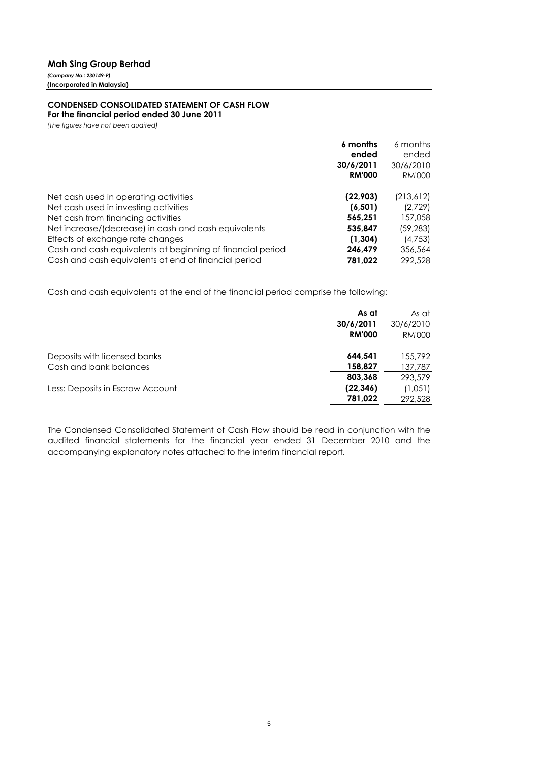*(Company No.: 230149-P)* **(Incorporated in Malaysia)**

## **CONDENSED CONSOLIDATED STATEMENT OF CASH FLOW**

**For the financial period ended 30 June 2011**

*(The figures have not been audited)*

| ended<br>ended<br>30/6/2011<br>30/6/2010<br><b>RM'000</b><br>RM'000              | 6 months |
|----------------------------------------------------------------------------------|----------|
|                                                                                  |          |
|                                                                                  |          |
|                                                                                  |          |
|                                                                                  |          |
| (22, 903)<br>Net cash used in operating activities<br>(213,612)                  |          |
| (2,729)<br>Net cash used in investing activities<br>(6, 501)                     |          |
| Net cash from financing activities<br>565,251<br>157,058                         |          |
| Net increase/(decrease) in cash and cash equivalents<br>535,847<br>(59, 283)     |          |
| (1, 304)<br>(4,753)<br>Effects of exchange rate changes                          |          |
| Cash and cash equivalents at beginning of financial period<br>246,479<br>356,564 |          |
| Cash and cash equivalents at end of financial period<br>292,528<br>781,022       |          |

Cash and cash equivalents at the end of the financial period comprise the following:

|                                                        | As at<br>30/6/2011<br><b>RM'000</b> | As at<br>30/6/2010<br>RM'000 |
|--------------------------------------------------------|-------------------------------------|------------------------------|
| Deposits with licensed banks<br>Cash and bank balances | 644.541<br>158,827                  | 155,792<br>137,787           |
|                                                        | 803.368                             | 293,579                      |
| Less: Deposits in Escrow Account                       | (22, 346)<br>781,022                | 1,051<br>292,528             |

The Condensed Consolidated Statement of Cash Flow should be read in conjunction with the audited financial statements for the financial year ended 31 December 2010 and the accompanying explanatory notes attached to the interim financial report.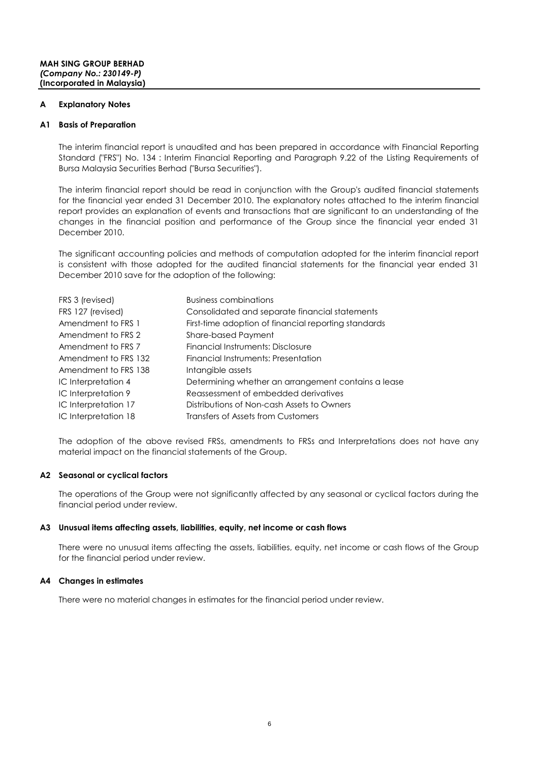#### **A Explanatory Notes**

### **A1 Basis of Preparation**

The interim financial report is unaudited and has been prepared in accordance with Financial Reporting Standard ("FRS") No. 134 : Interim Financial Reporting and Paragraph 9.22 of the Listing Requirements of Bursa Malaysia Securities Berhad ("Bursa Securities").

The interim financial report should be read in conjunction with the Group's audited financial statements for the financial year ended 31 December 2010. The explanatory notes attached to the interim financial report provides an explanation of events and transactions that are significant to an understanding of the changes in the financial position and performance of the Group since the financial year ended 31 December 2010.

The significant accounting policies and methods of computation adopted for the interim financial report is consistent with those adopted for the audited financial statements for the financial year ended 31 December 2010 save for the adoption of the following:

| FRS 3 (revised)      | <b>Business combinations</b>                         |
|----------------------|------------------------------------------------------|
| FRS 127 (revised)    | Consolidated and separate financial statements       |
| Amendment to FRS 1   | First-time adoption of financial reporting standards |
| Amendment to FRS 2   | Share-based Payment                                  |
| Amendment to FRS 7   | Financial Instruments: Disclosure                    |
| Amendment to FRS 132 | Financial Instruments: Presentation                  |
| Amendment to FRS 138 | Intangible assets                                    |
| IC Interpretation 4  | Determining whether an arrangement contains a lease  |
| IC Interpretation 9  | Reassessment of embedded derivatives                 |
| IC Interpretation 17 | Distributions of Non-cash Assets to Owners           |
| IC Interpretation 18 | Transfers of Assets from Customers                   |

The adoption of the above revised FRSs, amendments to FRSs and Interpretations does not have any material impact on the financial statements of the Group.

#### **A2 Seasonal or cyclical factors**

The operations of the Group were not significantly affected by any seasonal or cyclical factors during the financial period under review.

#### **A3 Unusual items affecting assets, liabilities, equity, net income or cash flows**

There were no unusual items affecting the assets, liabilities, equity, net income or cash flows of the Group for the financial period under review.

#### **A4 Changes in estimates**

There were no material changes in estimates for the financial period under review.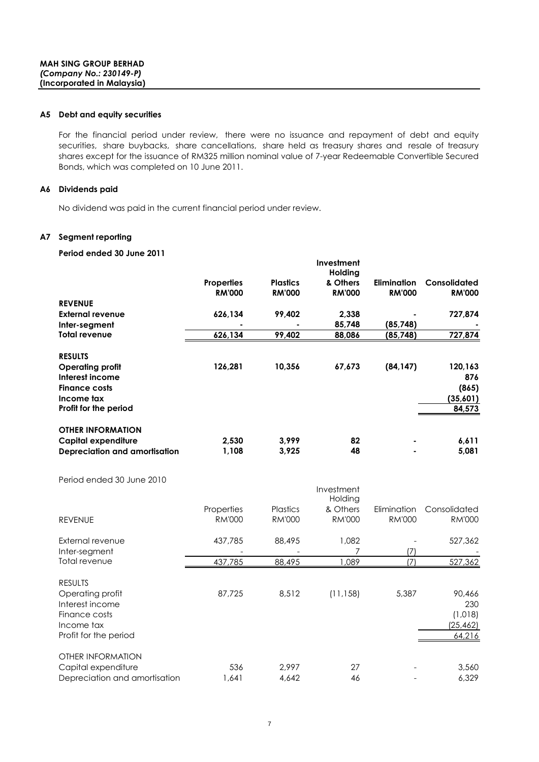#### **A5 Debt and equity securities**

For the financial period under review, there were no issuance and repayment of debt and equity securities, share buybacks, share cancellations, share held as treasury shares and resale of treasury shares except for the issuance of RM325 million nominal value of 7-year Redeemable Convertible Secured Bonds, which was completed on 10 June 2011.

### **A6 Dividends paid**

No dividend was paid in the current financial period under review.

### **A7 Segment reporting**

## **Period ended 30 June 2011**

| T CHOQ CHQCQ OO JOHC ZOTT     |                   |                 |                       |                    |               |
|-------------------------------|-------------------|-----------------|-----------------------|--------------------|---------------|
|                               |                   |                 | Investment<br>Holding |                    |               |
|                               | <b>Properties</b> | <b>Plastics</b> | & Others              | <b>Elimination</b> | Consolidated  |
|                               | <b>RM'000</b>     | <b>RM'000</b>   | <b>RM'000</b>         | <b>RM'000</b>      | <b>RM'000</b> |
| <b>REVENUE</b>                |                   |                 |                       |                    |               |
| External revenue              | 626,134           | 99,402          | 2,338                 |                    | 727,874       |
| Inter-segment                 |                   |                 | 85,748                | (85,748)           |               |
| Total revenue                 | 626,134           | 99,402          | 88,086                | (85,748)           | 727,874       |
| <b>RESULTS</b>                |                   |                 |                       |                    |               |
| <b>Operating profit</b>       | 126,281           | 10,356          | 67,673                | (84, 147)          | 120,163       |
| Interest income               |                   |                 |                       |                    | 876           |
| <b>Finance costs</b>          |                   |                 |                       |                    | (865)         |
| Income tax                    |                   |                 |                       |                    | (35,601)      |
| Profit for the period         |                   |                 |                       |                    | 84,573        |
| <b>OTHER INFORMATION</b>      |                   |                 |                       |                    |               |
| Capital expenditure           | 2,530             | 3,999           | 82                    |                    | 6,611         |
| Depreciation and amortisation | 1,108             | 3,925           | 48                    |                    | 5,081         |
|                               |                   |                 |                       |                    |               |

Period ended 30 June 2010

|                                                                                                               |               |                 | Investment<br>Holding |               |                                                 |
|---------------------------------------------------------------------------------------------------------------|---------------|-----------------|-----------------------|---------------|-------------------------------------------------|
|                                                                                                               | Properties    | <b>Plastics</b> | & Others              | Elimination   | Consolidated                                    |
| <b>REVENUE</b>                                                                                                | <b>RM'000</b> | <b>RM'000</b>   | <b>RM'000</b>         | <b>RM'000</b> | <b>RM'000</b>                                   |
| External revenue                                                                                              | 437,785       | 88,495          | 1.082                 |               | 527,362                                         |
| Inter-segment                                                                                                 |               |                 |                       | 17            |                                                 |
| Total revenue                                                                                                 | 437,785       | 88,495          | 1,089                 | 17            | 527,362                                         |
| <b>RESULTS</b><br>Operating profit<br>Interest income<br>Finance costs<br>Income tax<br>Profit for the period | 87,725        | 8,512           | (11, 158)             | 5,387         | 90,466<br>230<br>(1,018)<br>(25, 462)<br>64,216 |
| OTHER INFORMATION<br>Capital expenditure<br>Depreciation and amortisation                                     | 536<br>1,641  | 2,997<br>4,642  | 27<br>46              |               | 3,560<br>6,329                                  |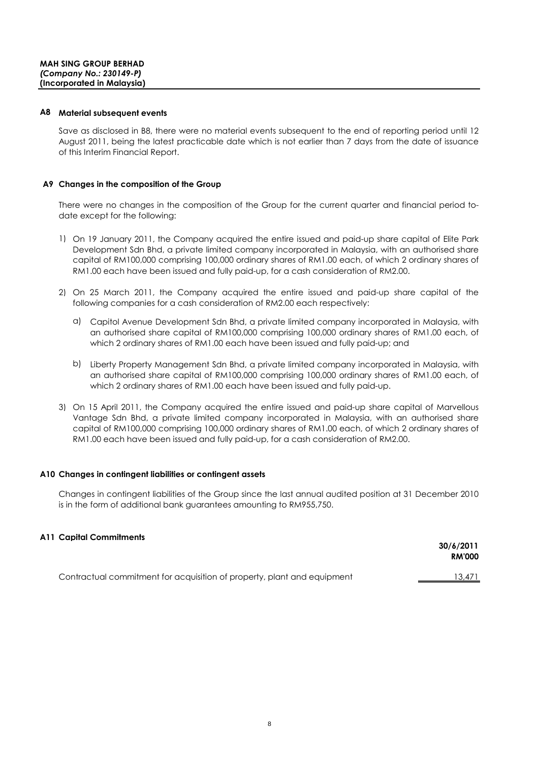#### **A8 Material subsequent events**

Save as disclosed in B8, there were no material events subsequent to the end of reporting period until 12 August 2011, being the latest practicable date which is not earlier than 7 days from the date of issuance of this Interim Financial Report.

### **A9 Changes in the composition of the Group**

There were no changes in the composition of the Group for the current quarter and financial period todate except for the following:

- 1) On 19 January 2011, the Company acquired the entire issued and paid-up share capital of Elite Park Development Sdn Bhd, a private limited company incorporated in Malaysia, with an authorised share capital of RM100,000 comprising 100,000 ordinary shares of RM1.00 each, of which 2 ordinary shares of RM1.00 each have been issued and fully paid-up, for a cash consideration of RM2.00.
- 2) On 25 March 2011, the Company acquired the entire issued and paid-up share capital of the following companies for a cash consideration of RM2.00 each respectively:
	- a) Capitol Avenue Development Sdn Bhd, a private limited company incorporated in Malaysia, with an authorised share capital of RM100,000 comprising 100,000 ordinary shares of RM1.00 each, of which 2 ordinary shares of RM1.00 each have been issued and fully paid-up; and
	- b) Liberty Property Management Sdn Bhd, a private limited company incorporated in Malaysia, with an authorised share capital of RM100,000 comprising 100,000 ordinary shares of RM1.00 each, of which 2 ordinary shares of RM1.00 each have been issued and fully paid-up.
- 3) On 15 April 2011, the Company acquired the entire issued and paid-up share capital of Marvellous Vantage Sdn Bhd, a private limited company incorporated in Malaysia, with an authorised share capital of RM100,000 comprising 100,000 ordinary shares of RM1.00 each, of which 2 ordinary shares of RM1.00 each have been issued and fully paid-up, for a cash consideration of RM2.00.

### **A10 Changes in contingent liabilities or contingent assets**

Changes in contingent liabilities of the Group since the last annual audited position at 31 December 2010 is in the form of additional bank guarantees amounting to RM955,750.

### **A11 Capital Commitments**

|                                                                         | 30/6/2011<br><b>RM'000</b> |
|-------------------------------------------------------------------------|----------------------------|
| Contractual commitment for acquisition of property, plant and equipment | 13,471                     |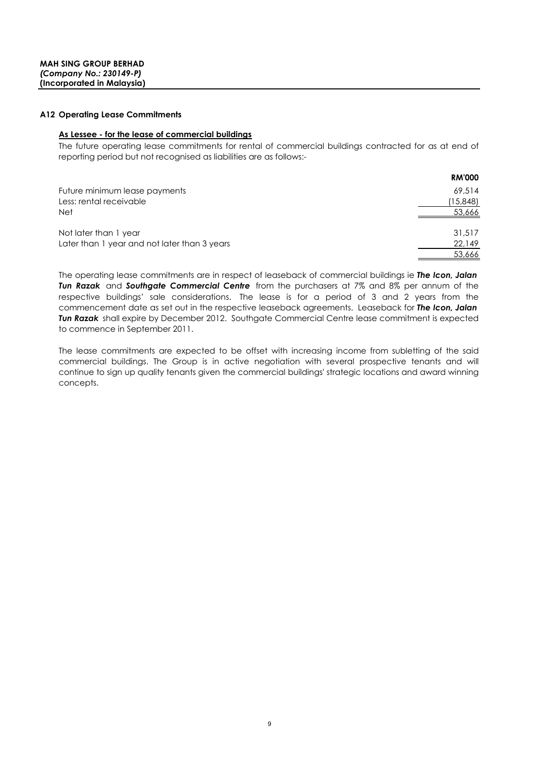#### **A12 Operating Lease Commitments**

### **As Lessee - for the lease of commercial buildings**

The future operating lease commitments for rental of commercial buildings contracted for as at end of reporting period but not recognised as liabilities are as follows:-

|                                              | <b>RM'000</b> |
|----------------------------------------------|---------------|
| Future minimum lease payments                | 69.514        |
| Less: rental receivable                      | (15,848)      |
| <b>Net</b>                                   | 53,666        |
|                                              |               |
| Not later than 1 year                        | 31,517        |
| Later than 1 year and not later than 3 years | 22,149        |
|                                              | 53,666        |

The operating lease commitments are in respect of leaseback of commercial buildings ie *The Icon, Jalan Tun Razak* and *Southgate Commercial Centre* from the purchasers at 7% and 8% per annum of the respective buildings' sale considerations. The lease is for a period of 3 and 2 years from the commencement date as set out in the respective leaseback agreements. Leaseback for *The Icon, Jalan Tun Razak* shall expire by December 2012. Southgate Commercial Centre lease commitment is expected to commence in September 2011.

The lease commitments are expected to be offset with increasing income from subletting of the said commercial buildings. The Group is in active negotiation with several prospective tenants and will continue to sign up quality tenants given the commercial buildings' strategic locations and award winning concepts.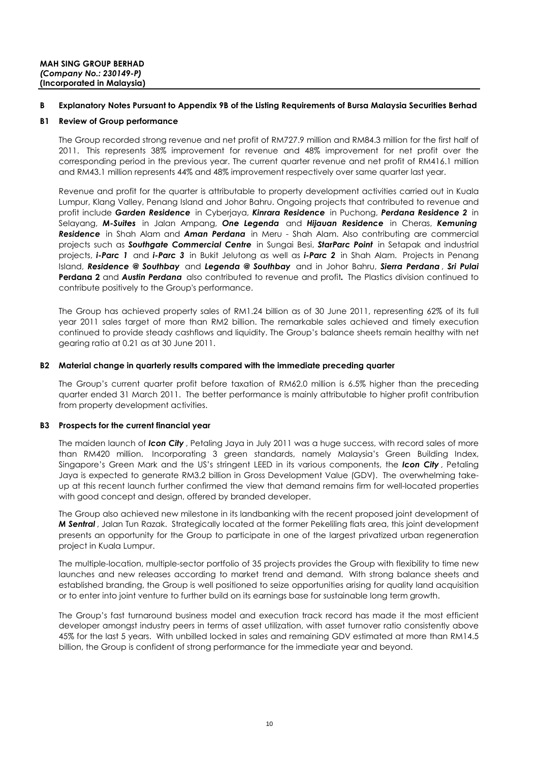#### **B Explanatory Notes Pursuant to Appendix 9B of the Listing Requirements of Bursa Malaysia Securities Berhad**

#### **B1 Review of Group performance**

The Group recorded strong revenue and net profit of RM727.9 million and RM84.3 million for the first half of 2011. This represents 38% improvement for revenue and 48% improvement for net profit over the corresponding period in the previous year. The current quarter revenue and net profit of RM416.1 million and RM43.1 million represents 44% and 48% improvement respectively over same quarter last year.

Revenue and profit for the quarter is attributable to property development activities carried out in Kuala Lumpur, Klang Valley, Penang Island and Johor Bahru. Ongoing projects that contributed to revenue and profit include *Garden Residence* in Cyberjaya, *Kinrara Residence* in Puchong, *Perdana Residence 2* in Selayang, *M-Suites* in Jalan Ampang, *One Legenda* and *Hijauan Residence* in Cheras, *Kemuning Residence* in Shah Alam and *Aman Perdana* in Meru - Shah Alam. Also contributing are commercial projects such as *Southgate Commercial Centre* in Sungai Besi, *StarParc Point* in Setapak and industrial projects, *i-Parc 1* and *i-Parc 3* in Bukit Jelutong as well as *i-Parc 2* in Shah Alam. Projects in Penang Island, *Residence @ Southbay* and *Legenda @ Southbay* and in Johor Bahru, *Sierra Perdana* , *Sri Pulai* **Perdana 2** and *Austin Perdana* also contributed to revenue and profit*.* The Plastics division continued to contribute positively to the Group's performance.

The Group has achieved property sales of RM1.24 billion as of 30 June 2011, representing 62% of its full year 2011 sales target of more than RM2 billion. The remarkable sales achieved and timely execution continued to provide steady cashflows and liquidity. The Group's balance sheets remain healthy with net gearing ratio at 0.21 as at 30 June 2011.

### **B2 Material change in quarterly results compared with the immediate preceding quarter**

The Group's current quarter profit before taxation of RM62.0 million is 6.5% higher than the preceding quarter ended 31 March 2011. The better performance is mainly attributable to higher profit contribution from property development activities.

### **B3 Prospects for the current financial year**

The maiden launch of *Icon City* , Petaling Jaya in July 2011 was a huge success, with record sales of more than RM420 million. Incorporating 3 green standards, namely Malaysia's Green Building Index, Singapore's Green Mark and the US's stringent LEED in its various components, the *Icon City* , Petaling Jaya is expected to generate RM3.2 billion in Gross Development Value (GDV). The overwhelming takeup at this recent launch further confirmed the view that demand remains firm for well-located properties with good concept and design, offered by branded developer.

The Group also achieved new milestone in its landbanking with the recent proposed joint development of *M Sentral* , Jalan Tun Razak. Strategically located at the former Pekeliling flats area, this joint development presents an opportunity for the Group to participate in one of the largest privatized urban regeneration project in Kuala Lumpur.

The multiple-location, multiple-sector portfolio of 35 projects provides the Group with flexibility to time new launches and new releases according to market trend and demand. With strong balance sheets and established branding, the Group is well positioned to seize opportunities arising for quality land acquisition or to enter into joint venture to further build on its earnings base for sustainable long term growth.

The Group's fast turnaround business model and execution track record has made it the most efficient developer amongst industry peers in terms of asset utilization, with asset turnover ratio consistently above 45% for the last 5 years. With unbilled locked in sales and remaining GDV estimated at more than RM14.5 billion, the Group is confident of strong performance for the immediate year and beyond.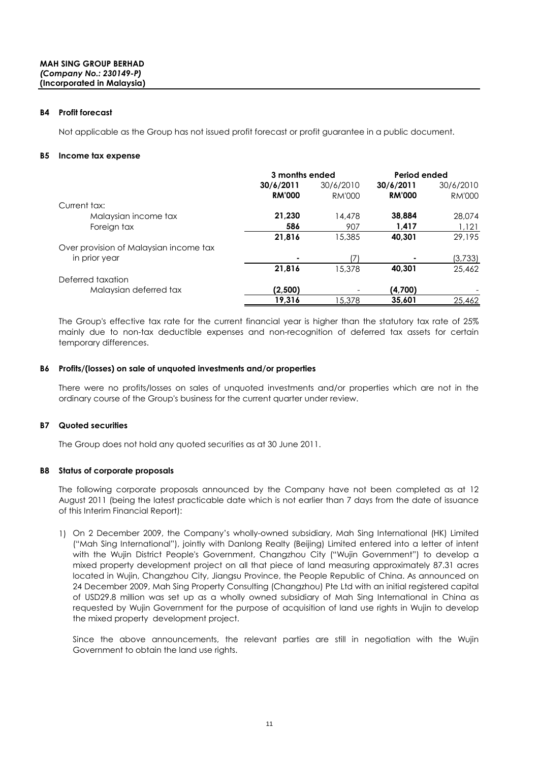#### **B4 Profit forecast**

Not applicable as the Group has not issued profit forecast or profit guarantee in a public document.

#### **B5 Income tax expense**

|                                        | 3 months ended |           | Period ended  |               |
|----------------------------------------|----------------|-----------|---------------|---------------|
|                                        | 30/6/2011      | 30/6/2010 | 30/6/2011     | 30/6/2010     |
|                                        | <b>RM'000</b>  | RM'000    | <b>RM'000</b> | <b>RM'000</b> |
| Current tax:                           |                |           |               |               |
| Malaysian income tax                   | 21,230         | 14,478    | 38,884        | 28,074        |
| Foreign tax                            | 586            | 907       | 1,417         | 1,121         |
|                                        | 21,816         | 15,385    | 40,301        | 29,195        |
| Over provision of Malaysian income tax |                |           |               |               |
| in prior year                          | ٠              | 17        |               | (3,733)       |
|                                        | 21,816         | 15.378    | 40.301        | 25,462        |
| Deferred taxation                      |                |           |               |               |
| Malaysian deferred tax                 | (2,500)        |           | (4,700)       |               |
|                                        | 19,316         | 15,378    | 35,601        | 25,462        |

The Group's effective tax rate for the current financial year is higher than the statutory tax rate of 25% mainly due to non-tax deductible expenses and non-recognition of deferred tax assets for certain temporary differences.

#### **B6 Profits/(losses) on sale of unquoted investments and/or properties**

There were no profits/losses on sales of unquoted investments and/or properties which are not in the ordinary course of the Group's business for the current quarter under review.

### **B7 Quoted securities**

The Group does not hold any quoted securities as at 30 June 2011.

### **B8 Status of corporate proposals**

The following corporate proposals announced by the Company have not been completed as at 12 August 2011 (being the latest practicable date which is not earlier than 7 days from the date of issuance of this Interim Financial Report):

1) On 2 December 2009, the Company's wholly-owned subsidiary, Mah Sing International (HK) Limited ("Mah Sing International"), jointly with Danlong Realty (Beijing) Limited entered into a letter of intent with the Wujin District People's Government, Changzhou City ("Wujin Government") to develop a mixed property development project on all that piece of land measuring approximately 87.31 acres located in Wujin, Changzhou City, Jiangsu Province, the People Republic of China. As announced on 24 December 2009, Mah Sing Property Consulting (Changzhou) Pte Ltd with an initial registered capital of USD29.8 million was set up as a wholly owned subsidiary of Mah Sing International in China as requested by Wujin Government for the purpose of acquisition of land use rights in Wujin to develop the mixed property development project.

Since the above announcements, the relevant parties are still in negotiation with the Wujin Government to obtain the land use rights.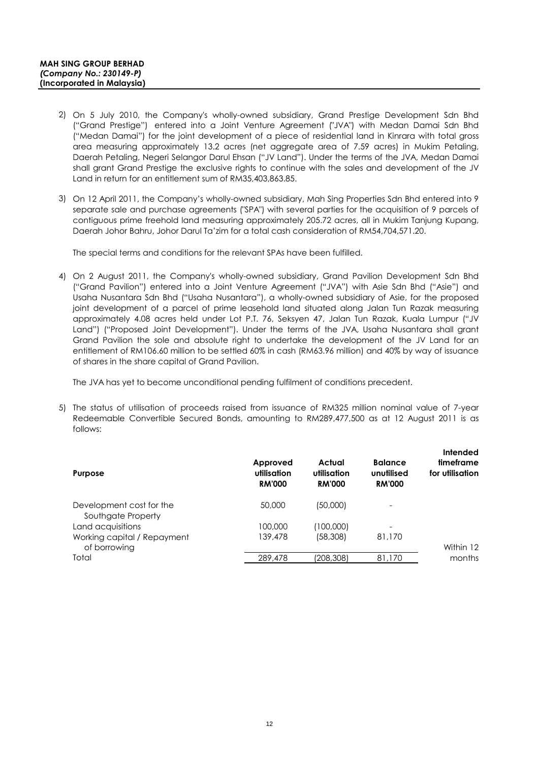- 2) On 5 July 2010, the Company's wholly-owned subsidiary, Grand Prestige Development Sdn Bhd ("Grand Prestige") entered into a Joint Venture Agreement ("JVA") with Medan Damai Sdn Bhd ("Medan Damai") for the joint development of a piece of residential land in Kinrara with total gross area measuring approximately 13.2 acres (net aggregate area of 7.59 acres) in Mukim Petaling, Daerah Petaling, Negeri Selangor Darul Ehsan ("JV Land"). Under the terms of the JVA, Medan Damai shall grant Grand Prestige the exclusive rights to continue with the sales and development of the JV Land in return for an entitlement sum of RM35,403,863.85.
- 3) On 12 April 2011, the Company's wholly-owned subsidiary, Mah Sing Properties Sdn Bhd entered into 9 separate sale and purchase agreements ("SPA") with several parties for the acquisition of 9 parcels of contiguous prime freehold land measuring approximately 205.72 acres, all in Mukim Tanjung Kupang, Daerah Johor Bahru, Johor Darul Ta'zim for a total cash consideration of RM54,704,571.20.

The special terms and conditions for the relevant SPAs have been fulfilled.

4) On 2 August 2011, the Company's wholly-owned subsidiary, Grand Pavilion Development Sdn Bhd ("Grand Pavilion") entered into a Joint Venture Agreement ("JVA") with Asie Sdn Bhd ("Asie") and Usaha Nusantara Sdn Bhd ("Usaha Nusantara"), a wholly-owned subsidiary of Asie, for the proposed joint development of a parcel of prime leasehold land situated along Jalan Tun Razak measuring approximately 4.08 acres held under Lot P.T. 76, Seksyen 47, Jalan Tun Razak, Kuala Lumpur ("JV Land") ("Proposed Joint Development"). Under the terms of the JVA, Usaha Nusantara shall grant Grand Pavilion the sole and absolute right to undertake the development of the JV Land for an entitlement of RM106.60 million to be settled 60% in cash (RM63.96 million) and 40% by way of issuance of shares in the share capital of Grand Pavilion.

The JVA has yet to become unconditional pending fulfilment of conditions precedent.

5) The status of utilisation of proceeds raised from issuance of RM325 million nominal value of 7-year Redeemable Convertible Secured Bonds, amounting to RM289,477,500 as at 12 August 2011 is as follows:

| <b>Purpose</b>                                 | Approved<br>utilisation<br><b>RM'000</b> | Actual<br>utilisation<br><b>RM'000</b> | <b>Balance</b><br>unutilised<br><b>RM'000</b> | Intended<br>timeframe<br>for utilisation |
|------------------------------------------------|------------------------------------------|----------------------------------------|-----------------------------------------------|------------------------------------------|
| Development cost for the<br>Southgate Property | 50,000                                   | (50,000)                               | $\overline{\phantom{a}}$                      |                                          |
| Land acquisitions                              | 100,000                                  | (100,000)                              | $\overline{\phantom{a}}$                      |                                          |
| Working capital / Repayment                    | 139,478                                  | (58, 308)                              | 81,170                                        |                                          |
| of borrowing<br>Total                          | 289,478                                  | (208,308)                              | 81,170                                        | Within 12<br>months                      |
|                                                |                                          |                                        |                                               |                                          |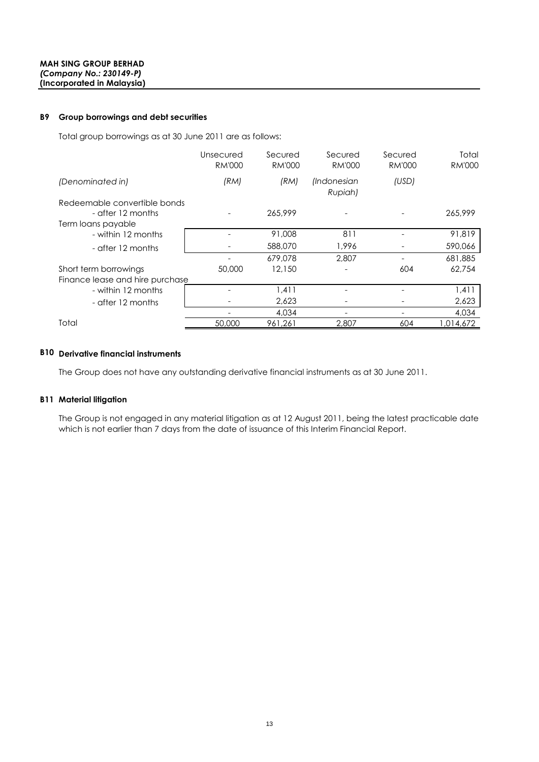#### **B9 Group borrowings and debt securities**

Total group borrowings as at 30 June 2011 are as follows:

|                                 | Unsecured<br><b>RM'000</b> | Secured<br><b>RM'000</b> | Secured<br><b>RM'000</b> | Secured<br><b>RM'000</b> | Total<br><b>RM'000</b> |
|---------------------------------|----------------------------|--------------------------|--------------------------|--------------------------|------------------------|
| (Denominated in)                | (RM)                       | (RM)                     | (Indonesian<br>Rupiah)   | (USD)                    |                        |
| Redeemable convertible bonds    |                            |                          |                          |                          |                        |
| - after 12 months               |                            | 265,999                  |                          |                          | 265,999                |
| Term loans payable              |                            |                          |                          |                          |                        |
| - within 12 months              |                            | 91,008                   | 811                      |                          | 91,819                 |
| - after 12 months               |                            | 588,070                  | 1.996                    |                          | 590,066                |
|                                 |                            | 679,078                  | 2.807                    |                          | 681,885                |
| Short term borrowings           | 50,000                     | 12,150                   |                          | 604                      | 62,754                 |
| Finance lease and hire purchase |                            |                          |                          |                          |                        |
| - within 12 months              |                            | 1,411                    |                          |                          | 1,411                  |
| - after 12 months               |                            | 2,623                    |                          |                          | 2,623                  |
|                                 |                            | 4,034                    |                          |                          | 4,034                  |
| Total                           | 50,000                     | 961,261                  | 2,807                    | 604                      | 014,672. ا             |

# **B10 Derivative financial instruments**

The Group does not have any outstanding derivative financial instruments as at 30 June 2011.

#### **B11 Material litigation**

The Group is not engaged in any material litigation as at 12 August 2011, being the latest practicable date which is not earlier than 7 days from the date of issuance of this Interim Financial Report.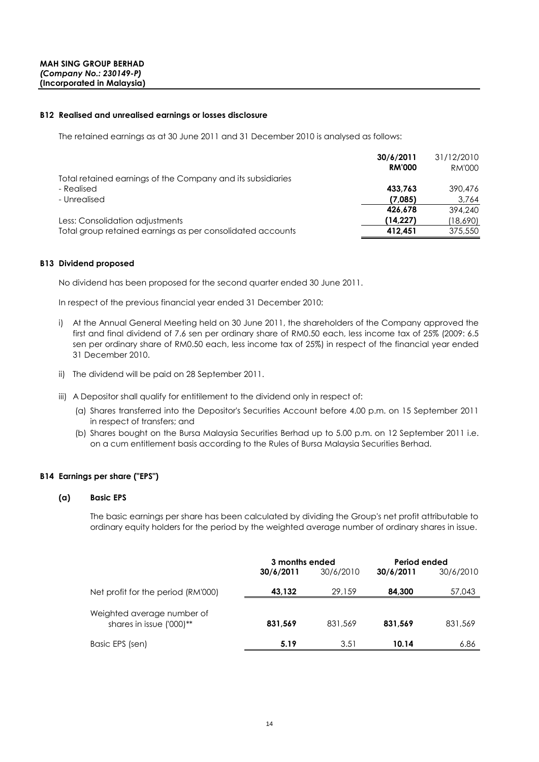#### **B12 Realised and unrealised earnings or losses disclosure**

The retained earnings as at 30 June 2011 and 31 December 2010 is analysed as follows:

|                                                             | 30/6/2011     | 31/12/2010 |
|-------------------------------------------------------------|---------------|------------|
|                                                             | <b>RM'000</b> | RM'000     |
| Total retained earnings of the Company and its subsidiaries |               |            |
| - Realised                                                  | 433.763       | 390,476    |
| - Unrealised                                                | (7.085)       | 3,764      |
|                                                             | 426,678       | 394.240    |
| Less: Consolidation adjustments                             | (14.227)      | (18,690)   |
| Total group retained earnings as per consolidated accounts  | 412.451       | 375,550    |

#### **B13 Dividend proposed**

No dividend has been proposed for the second quarter ended 30 June 2011.

In respect of the previous financial year ended 31 December 2010:

- i) At the Annual General Meeting held on 30 June 2011, the shareholders of the Company approved the first and final dividend of 7.6 sen per ordinary share of RM0.50 each, less income tax of 25% (2009: 6.5 sen per ordinary share of RM0.50 each, less income tax of 25%) in respect of the financial year ended 31 December 2010.
- ii) The dividend will be paid on 28 September 2011.
- iii) A Depositor shall qualify for entitilement to the dividend only in respect of:
	- (a) Shares transferred into the Depositor's Securities Account before 4.00 p.m. on 15 September 2011 in respect of transfers; and
	- (b) Shares bought on the Bursa Malaysia Securities Berhad up to 5.00 p.m. on 12 September 2011 i.e. on a cum entitlement basis according to the Rules of Bursa Malaysia Securities Berhad.

### **B14 Earnings per share ("EPS")**

#### **(a) Basic EPS**

The basic earnings per share has been calculated by dividing the Group's net profit attributable to ordinary equity holders for the period by the weighted average number of ordinary shares in issue.

|                                                        | 3 months ended<br>30/6/2010<br>30/6/2011 |         | Period ended<br>30/6/2010<br>30/6/2011 |         |
|--------------------------------------------------------|------------------------------------------|---------|----------------------------------------|---------|
| Net profit for the period (RM'000)                     | 43,132                                   | 29,159  | 84,300                                 | 57,043  |
| Weighted average number of<br>shares in issue ('000)** | 831,569                                  | 831,569 | 831.569                                | 831,569 |
| Basic EPS (sen)                                        | 5.19                                     | 3.51    | 10.14                                  | 6.86    |